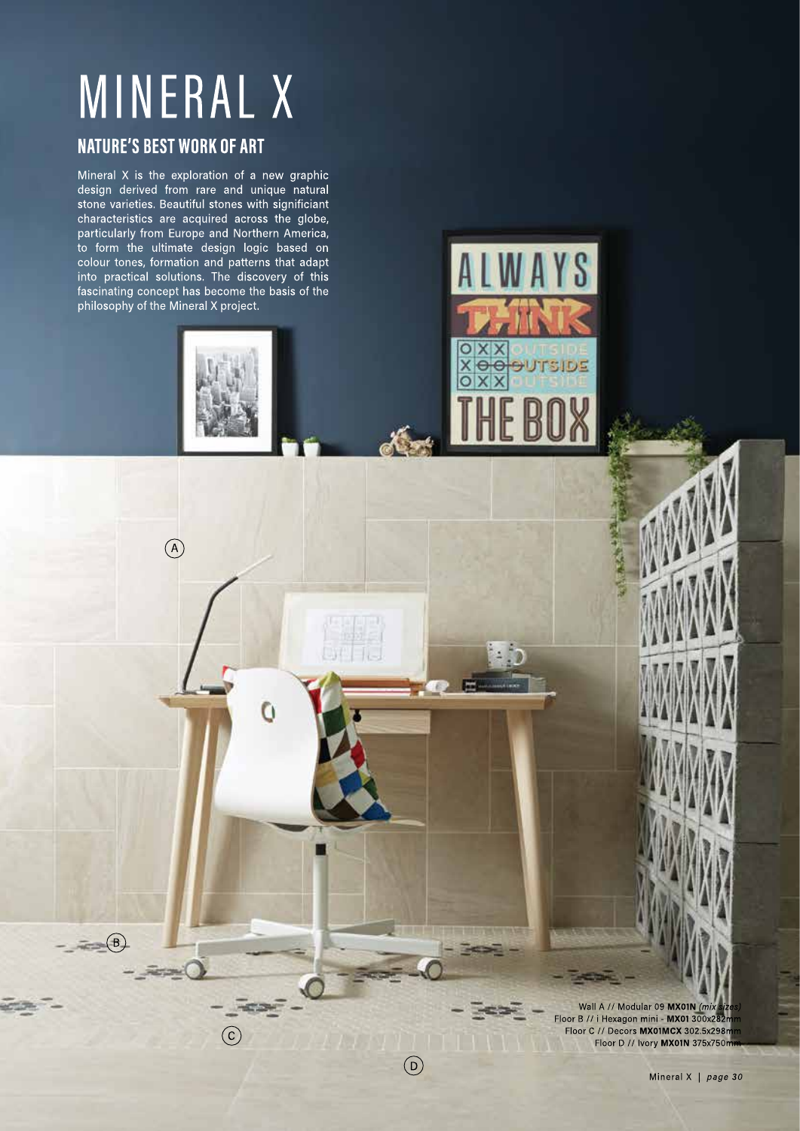# **MINERAL X**

# **NATURE'S BEST WORK OF ART**

 $\begin{picture}(42,14) \put(0,0){\line(1,0){155}} \put(15,0){\line(1,0){155}} \put(15,0){\line(1,0){155}} \put(15,0){\line(1,0){155}} \put(15,0){\line(1,0){155}} \put(15,0){\line(1,0){155}} \put(15,0){\line(1,0){155}} \put(15,0){\line(1,0){155}} \put(15,0){\line(1,0){155}} \put(15,0){\line(1,0){155}} \put(15,0){\line(1,0){155}} \$ 

 $\circ$ 

Fermil

 $\widehat{\mathsf{c}}$ 

 $\left($ D

Ö

Mineral X is the exploration of a new graphic design derived from rare and unique natural stone varieties. Beautiful stones with significiant characteristics are acquired across the globe, particularly from Europe and Northern America, to form the ultimate design logic based on colour tones, formation and patterns that adapt into practical solutions. The discovery of this fascinating concept has become the basis of the philosophy of the Mineral X project.

> Wall A // Modular 09 MX01N (mix Floor B // i Hexagon mini - MX01 300x282r Floor C // Decors MX01MCX 302.5x298m Floor D // Ivory MX01N 375x750m

**OUTSIDE** 

e ē

Mineral X | page 30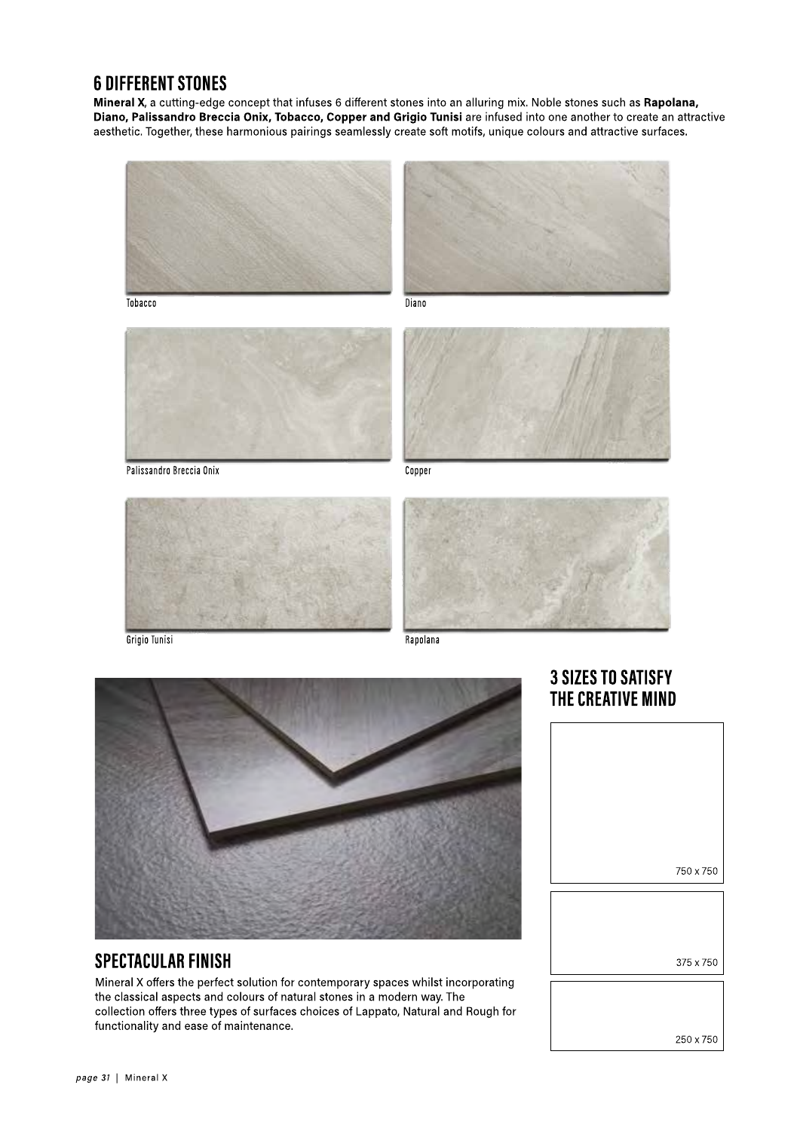# **6 DIFFERENT STONES**

Mineral X, a cutting-edge concept that infuses 6 different stones into an alluring mix. Noble stones such as Rapolana, Diano, Palissandro Breccia Onix, Tobacco, Copper and Grigio Tunisi are infused into one another to create an attractive aesthetic. Together, these harmonious pairings seamlessly create soft motifs, unique colours and attractive surfaces.



Tobacco

Diano



Palissandro Breccia Onix

Copper



Grigio Tunisi



Rapolana



## **SPECTACULAR FINISH**

Mineral X offers the perfect solution for contemporary spaces whilst incorporating the classical aspects and colours of natural stones in a modern way. The collection offers three types of surfaces choices of Lappato, Natural and Rough for functionality and ease of maintenance.



**3 SIZES TO SATISFY** 



250 x 750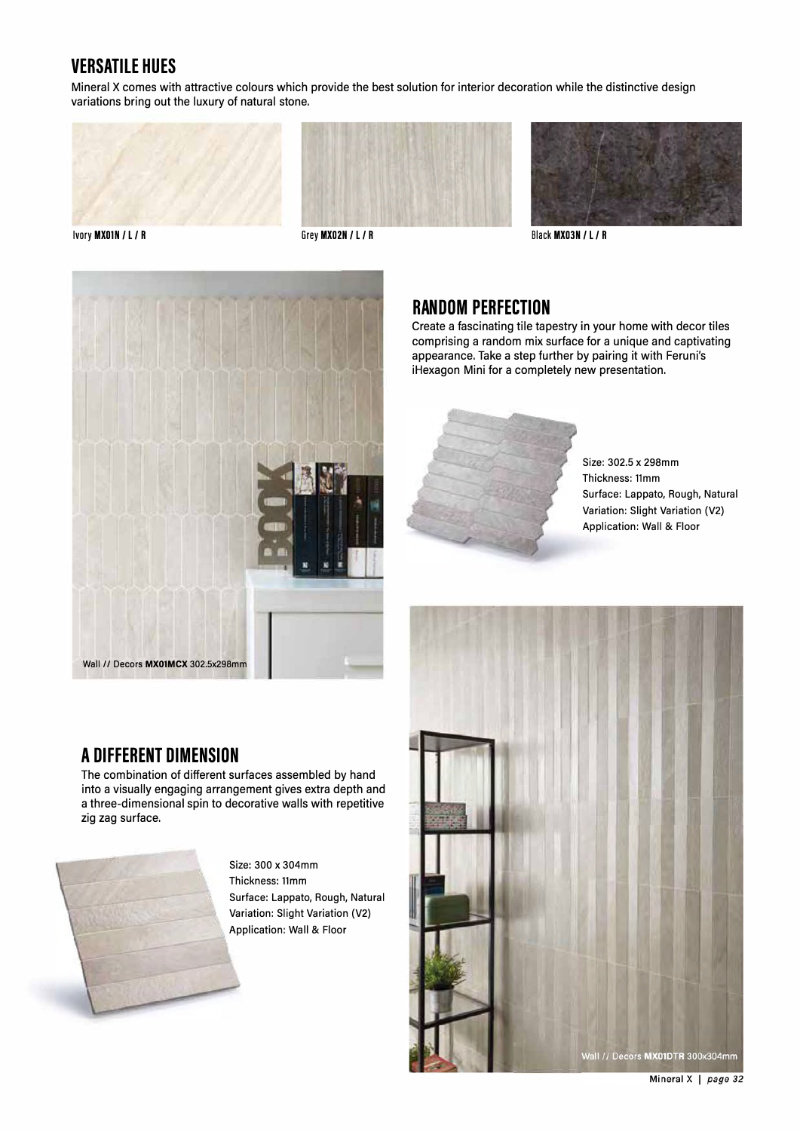# **VERSATILE HUES**

Mineral X comes with attractive colours which provide the best solution for interior decoration while the distinctive design variations bring out the luxury of natural stone.





**Black MX03N / L / R** 



# **RANDOM PERFECTION**

Create a fascinating tile tapestry in your home with decor tiles comprising a random mix surface for a unique and captivating appearance. Take a step further by pairing it with Feruni's iHexagon Mini for a completely new presentation.



Size: 302.5 x 298mm Thickness: 11mm Surface: Lappato, Rough, Natural Variation: Slight Variation (V2) Application: Wall & Floor

# Wall // Decors MX01DTR 300x304mm

**A DIFFERENT DIMENSION** 

The combination of different surfaces assembled by hand into a visually engaging arrangement gives extra depth and a three-dimensional spin to decorative walls with repetitive zig zag surface.



Size: 300 x 304mm Thickness: 11mm Surface: Lappato, Rough, Natural Variation: Slight Variation (V2) Application: Wall & Floor

Mineral X | page 32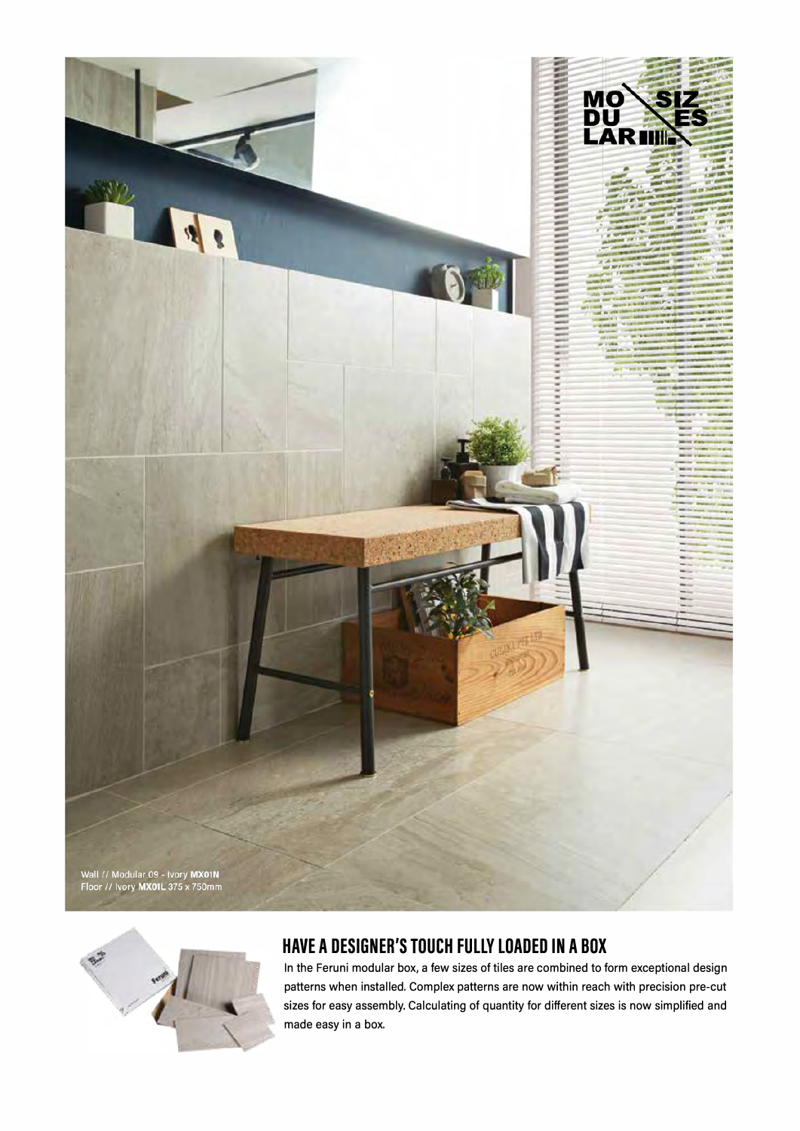



# **HAVE A DESIGNER'S TOUCH FULLY LOADED IN A BOX**

In the Feruni modular box, a few sizes of tiles are combined to form exceptional design patterns when installed. Complex patterns are now within reach with precision pre-cut sizes for easy assembly. Calculating of quantity for different sizes is now simplified and made easy in a box.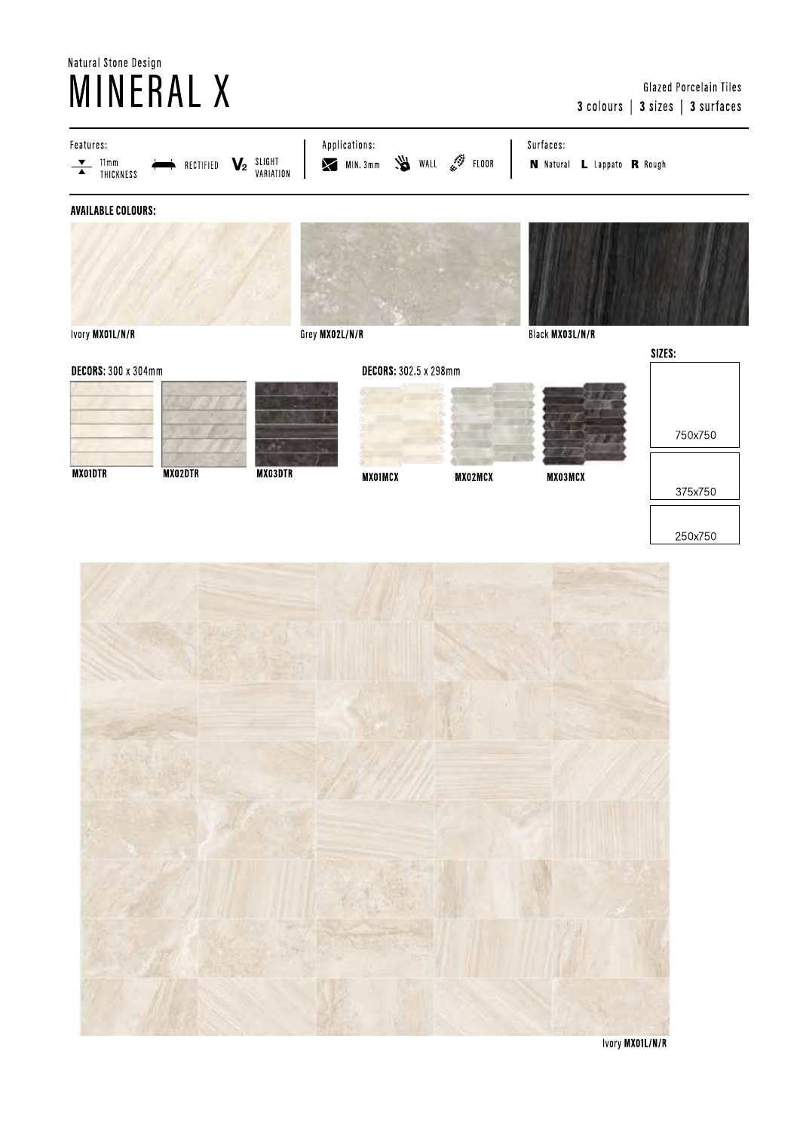# Natural Stone Design **MINERAL X**

### Glazed Porcelain Tiles 3 colours | 3 sizes | 3 surfaces



Ivory MX01L/N/R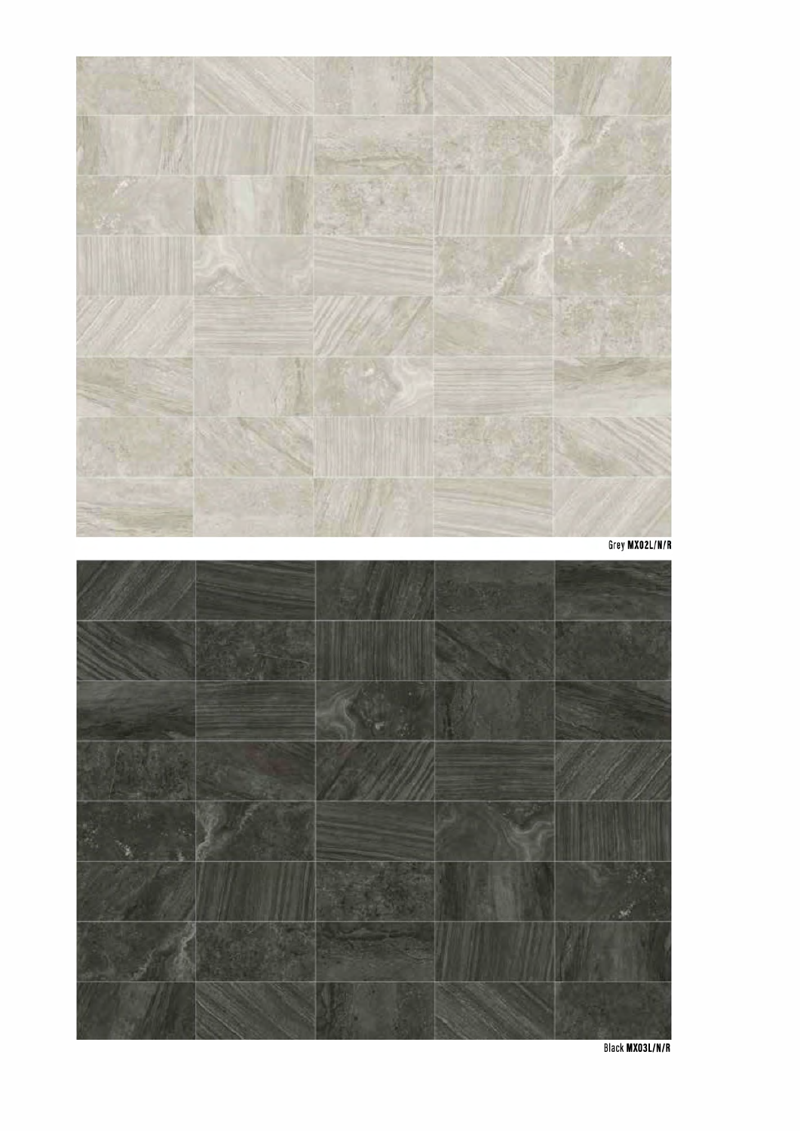



**Black MX03L/N/R**